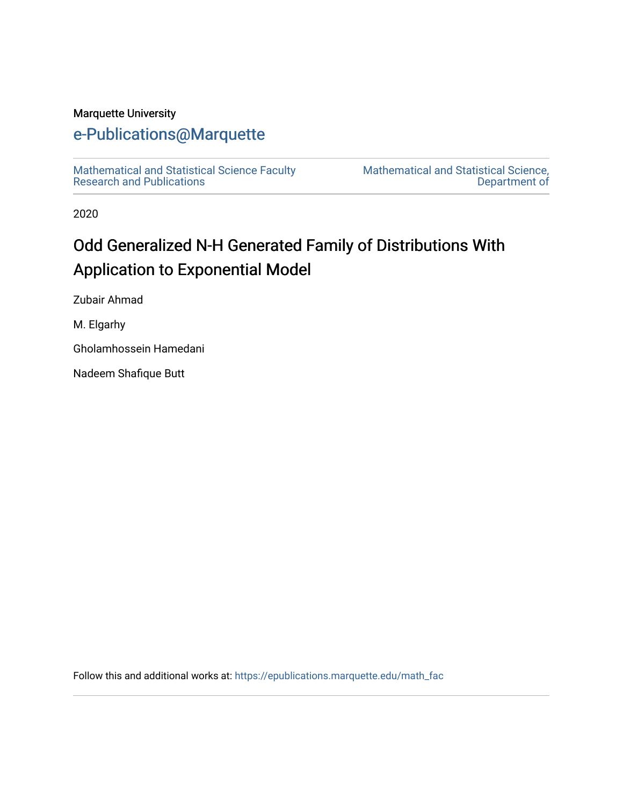# Marquette University

# [e-Publications@Marquette](https://epublications.marquette.edu/)

[Mathematical and Statistical Science Faculty](https://epublications.marquette.edu/math_fac)  [Research and Publications](https://epublications.marquette.edu/math_fac) 

[Mathematical and Statistical Science,](https://epublications.marquette.edu/math)  [Department of](https://epublications.marquette.edu/math) 

2020

# Odd Generalized N-H Generated Family of Distributions With Application to Exponential Model

Zubair Ahmad

M. Elgarhy

Gholamhossein Hamedani

Nadeem Shafique Butt

Follow this and additional works at: [https://epublications.marquette.edu/math\\_fac](https://epublications.marquette.edu/math_fac?utm_source=epublications.marquette.edu%2Fmath_fac%2F74&utm_medium=PDF&utm_campaign=PDFCoverPages)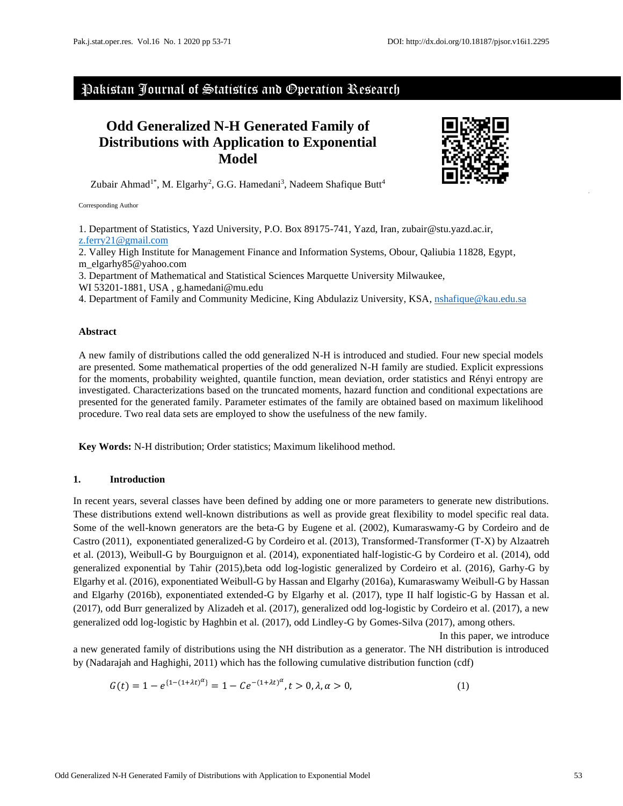# Pakistan Journal of Statistics and Operation Research

# **Odd Generalized N-H Generated Family of Distributions with Application to Exponential Model**



Zubair Ahmad<sup>1\*</sup>, M. Elgarhy<sup>2</sup>, G.G. Hamedani<sup>3</sup>, Nadeem Shafique Butt<sup>4</sup>

Corresponding Author

1. Department of Statistics, Yazd University, P.O. Box 89175-741, Yazd, Iran, zubair@stu.yazd.ac.ir, [z.ferry21@gmail.com](mailto:z.ferry21@gmail.com)

2. Valley High Institute for Management Finance and Information Systems, Obour, Qaliubia 11828, Egypt, m\_elgarhy85@yahoo.com

3. Department of Mathematical and Statistical Sciences Marquette University Milwaukee,

WI 53201-1881, USA , g.hamedani@mu.edu

4. Department of Family and Community Medicine, King Abdulaziz University, KSA, [nshafique@kau.edu.sa](mailto:nshafique@kau.edu.sa)

#### **Abstract**

A new family of distributions called the odd generalized N-H is introduced and studied. Four new special models are presented. Some mathematical properties of the odd generalized N-H family are studied. Explicit expressions for the moments, probability weighted, quantile function, mean deviation, order statistics and Rényi entropy are investigated. Characterizations based on the truncated moments, hazard function and conditional expectations are presented for the generated family. Parameter estimates of the family are obtained based on maximum likelihood procedure. Two real data sets are employed to show the usefulness of the new family.

**Key Words:** N-H distribution; Order statistics; Maximum likelihood method.

#### **1. Introduction**

In recent years, several classes have been defined by adding one or more parameters to generate new distributions. These distributions extend well-known distributions as well as provide great flexibility to model specific real data. Some of the well-known generators are the beta-G by Eugene et al. (2002), Kumaraswamy-G by Cordeiro and de Castro (2011), exponentiated generalized-G by Cordeiro et al. (2013), Transformed-Transformer (T-X) by Alzaatreh et al. (2013), Weibull-G by Bourguignon et al. (2014), exponentiated half-logistic-G by Cordeiro et al. (2014), odd generalized exponential by Tahir (2015),beta odd log-logistic generalized by Cordeiro et al. (2016), Garhy-G by Elgarhy et al. (2016), exponentiated Weibull-G by Hassan and Elgarhy (2016a), Kumaraswamy Weibull-G by Hassan and Elgarhy (2016b), exponentiated extended-G by Elgarhy et al. (2017), type II half logistic-G by Hassan et al. (2017), odd Burr generalized by [Alizadeh](http://www.tandfonline.com/author/Alizadeh%2C+Morad) et al. (2017), generalized odd log-logistic by Cordeiro et al. (2017), a new generalized odd log-logistic by Haghbin et al. (2017), odd Lindley-G by Gomes-Silva (2017), among others.

In this paper, we introduce a new generated family of distributions using the NH distribution as a generator. The NH distribution is introduced by (Nadarajah and Haghighi, 2011) which has the following cumulative distribution function (cdf)

$$
G(t) = 1 - e^{\{1 - (1 + \lambda t)^{\alpha}\}} = 1 - Ce^{-(1 + \lambda t)^{\alpha}}, t > 0, \lambda, \alpha > 0,
$$
\n(1)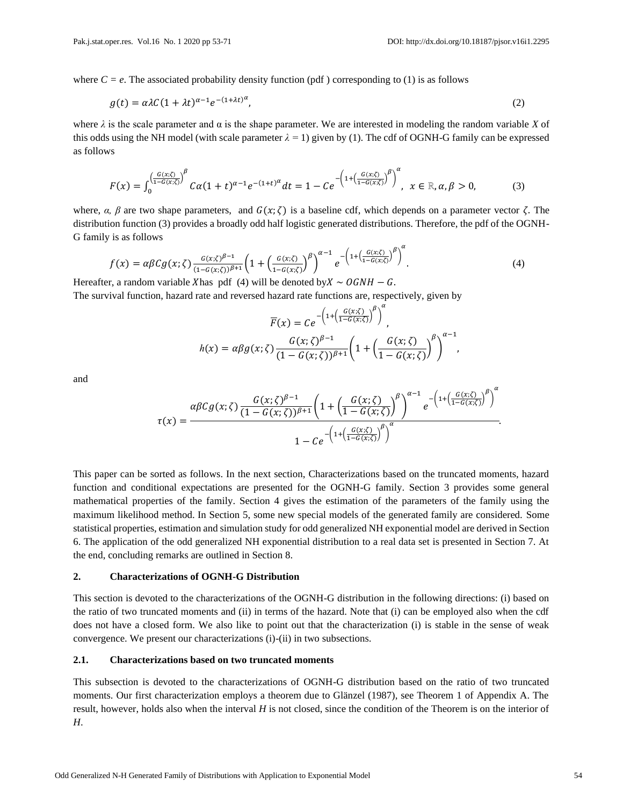where  $C = e$ . The associated probability density function (pdf) corresponding to (1) is as follows

$$
g(t) = \alpha \lambda C (1 + \lambda t)^{\alpha - 1} e^{-(1 + \lambda t)^{\alpha}}, \tag{2}
$$

where  $\lambda$  is the scale parameter and  $\alpha$  is the shape parameter. We are interested in modeling the random variable *X* of this odds using the NH model (with scale parameter  $\lambda = 1$ ) given by (1). The cdf of OGNH-G family can be expressed as follows

$$
F(x) = \int_0^{\left(\frac{G(x;\zeta)}{1-G(x;\zeta)}\right)^{\beta}} C\alpha (1+t)^{\alpha-1} e^{-(1+t)^{\alpha}} dt = 1 - C e^{-\left(1 + \left(\frac{G(x;\zeta)}{1-G(x;\zeta)}\right)^{\beta}\right)^{\alpha}}, \quad x \in \mathbb{R}, \alpha, \beta > 0,
$$
 (3)

where,  $\alpha$ ,  $\beta$  are two shape parameters, and  $G(x;\zeta)$  is a baseline cdf, which depends on a parameter vector  $\zeta$ . The distribution function (3) provides a broadly odd half logistic generated distributions. Therefore, the pdf of the OGNH-G family is as follows

$$
f(x) = \alpha \beta C g(x; \zeta) \frac{G(x; \zeta)^{\beta - 1}}{(1 - G(x; \zeta))^{\beta + 1}} \left( 1 + \left( \frac{G(x; \zeta)}{1 - G(x; \zeta)} \right)^{\beta} \right)^{\alpha - 1} e^{-\left( 1 + \left( \frac{G(x; \zeta)}{1 - G(x; \zeta)} \right)^{\beta} \right)^{\alpha}}.
$$
\n(4)

Hereafter, a random variable Xhas pdf (4) will be denoted by  $X \sim OGNH - G$ .

The survival function, hazard rate and reversed hazard rate functions are, respectively, given by

$$
\overline{F}(x) = Ce^{-\left(1 + \left(\frac{G(x;\zeta)}{1 - G(x;\zeta)}\right)^{\beta}\right)^{\alpha}},
$$

$$
h(x) = \alpha \beta g(x;\zeta) \frac{G(x;\zeta)^{\beta - 1}}{(1 - G(x;\zeta))^{\beta + 1}} \left(1 + \left(\frac{G(x;\zeta)}{1 - G(x;\zeta)}\right)^{\beta}\right)^{\alpha - 1},
$$

and

$$
\tau(x) = \frac{\alpha \beta C g(x;\zeta) \frac{G(x;\zeta)^{\beta-1}}{(1-G(x;\zeta))^{\beta+1}} \left(1 + \left(\frac{G(x;\zeta)}{1-G(x;\zeta)}\right)^{\beta}\right)^{\alpha-1} e^{-\left(1 + \left(\frac{G(x;\zeta)}{1-G(x;\zeta)}\right)^{\beta}\right)^{\alpha}}}{1 - Ce^{-\left(1 + \left(\frac{G(x;\zeta)}{1-G(x;\zeta)}\right)^{\beta}\right)^{\alpha}}}.
$$

This paper can be sorted as follows. In the next section, Characterizations based on the truncated moments, hazard function and conditional expectations are presented for the OGNH-G family. Section 3 provides some general mathematical properties of the family. Section 4 gives the estimation of the parameters of the family using the maximum likelihood method. In Section 5, some new special models of the generated family are considered. Some statistical properties, estimation and simulation study for odd generalized NH exponential model are derived in Section 6. The application of the odd generalized NH exponential distribution to a real data set is presented in Section 7. At the end, concluding remarks are outlined in Section 8.

# **2. Characterizations of OGNH-G Distribution**

This section is devoted to the characterizations of the OGNH-G distribution in the following directions: (i) based on the ratio of two truncated moments and (ii) in terms of the hazard. Note that (i) can be employed also when the cdf does not have a closed form. We also like to point out that the characterization (i) is stable in the sense of weak convergence. We present our characterizations (i)-(ii) in two subsections.

## **2.1. Characterizations based on two truncated moments**

This subsection is devoted to the characterizations of OGNH-G distribution based on the ratio of two truncated moments. Our first characterization employs a theorem due to Glänzel (1987), see Theorem 1 of Appendix A. The result, however, holds also when the interval *H* is not closed, since the condition of the Theorem is on the interior of *H*.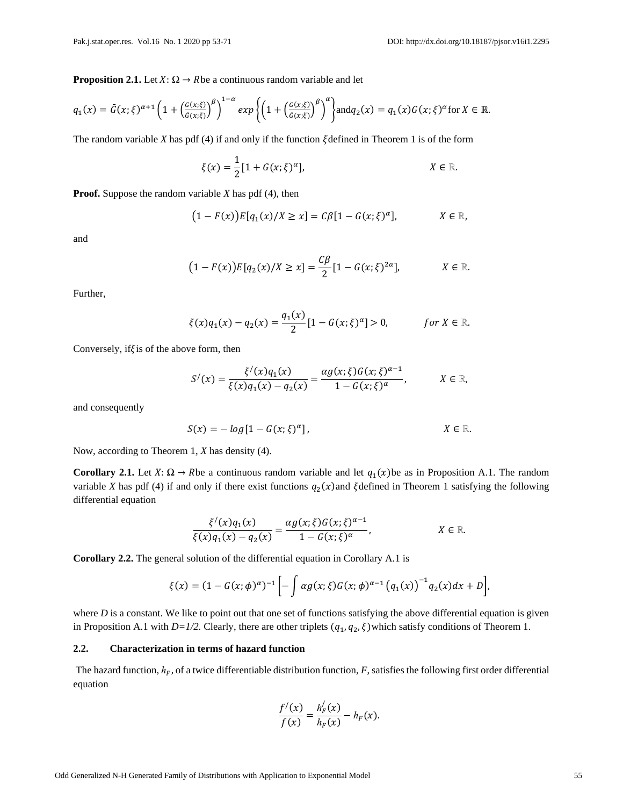**Proposition 2.1.** Let  $X: \Omega \to R$  be a continuous random variable and let

$$
q_1(x) = \bar{G}(x;\xi)^{\alpha+1} \left(1 + \left(\frac{G(x;\xi)}{\bar{G}(x;\xi)}\right)^{\beta}\right)^{1-\alpha} \exp\left\{\left(1 + \left(\frac{G(x;\xi)}{\bar{G}(x;\xi)}\right)^{\beta}\right)^{\alpha}\right\} \text{ and } q_2(x) = q_1(x)G(x;\xi)^{\alpha} \text{ for } X \in \mathbb{R}.
$$

The random variable  $X$  has pdf (4) if and only if the function  $\xi$  defined in Theorem 1 is of the form

$$
\xi(x) = \frac{1}{2} [1 + G(x; \xi)^{\alpha}], \qquad X \in \mathbb{R}.
$$

**Proof.** Suppose the random variable *X* has pdf (4), then

$$
(1 - F(x))E[q_1(x)/X \ge x] = C\beta[1 - G(x;\xi)^{\alpha}], \qquad X \in \mathbb{R},
$$

and

$$
(1 - F(x))E[q_2(x)/X \ge x] = \frac{C\beta}{2}[1 - G(x;\xi)^{2\alpha}], \qquad X \in \mathbb{R}.
$$

Further,

$$
\xi(x)q_1(x) - q_2(x) = \frac{q_1(x)}{2} [1 - G(x; \xi)^{\alpha}] > 0, \quad \text{for } X \in \mathbb{R}.
$$

Conversely, if  $\xi$  is of the above form, then

$$
S'(x) = \frac{\xi'(x)q_1(x)}{\xi(x)q_1(x) - q_2(x)} = \frac{\alpha g(x;\xi)G(x;\xi)^{\alpha-1}}{1 - G(x;\xi)^{\alpha}}, \qquad X \in \mathbb{R},
$$

and consequently

$$
S(x) = -\log[1 - G(x;\xi)^{\alpha}], \qquad X \in \mathbb{R}.
$$

Now, according to Theorem 1, *X* has density (4).

**Corollary 2.1.** Let  $X: \Omega \to R$  be a continuous random variable and let  $q_1(x)$  be as in Proposition A.1. The random variable *X* has pdf (4) if and only if there exist functions  $q_2(x)$  and  $\xi$  defined in Theorem 1 satisfying the following differential equation

$$
\frac{\xi'(x)q_1(x)}{\xi(x)q_1(x)-q_2(x)}=\frac{\alpha g(x;\xi)G(x;\xi)^{\alpha-1}}{1-G(x;\xi)^{\alpha}},\qquad X\in\mathbb{R}.
$$

**Corollary 2.2.** The general solution of the differential equation in Corollary A.1 is

$$
\xi(x) = (1 - G(x; \phi)^{\alpha})^{-1} \left[ - \int \alpha g(x; \xi) G(x; \phi)^{\alpha - 1} (q_1(x))^{-1} q_2(x) dx + D \right],
$$

where  $D$  is a constant. We like to point out that one set of functions satisfying the above differential equation is given in Proposition A.1 with  $D=1/2$ . Clearly, there are other triplets  $(q_1, q_2, \xi)$  which satisfy conditions of Theorem 1.

# **2.2. Characterization in terms of hazard function**

The hazard function,  $h_F$ , of a twice differentiable distribution function, *F*, satisfies the following first order differential equation

$$
\frac{f'(x)}{f(x)} = \frac{h'_{F}(x)}{h_{F}(x)} - h_{F}(x).
$$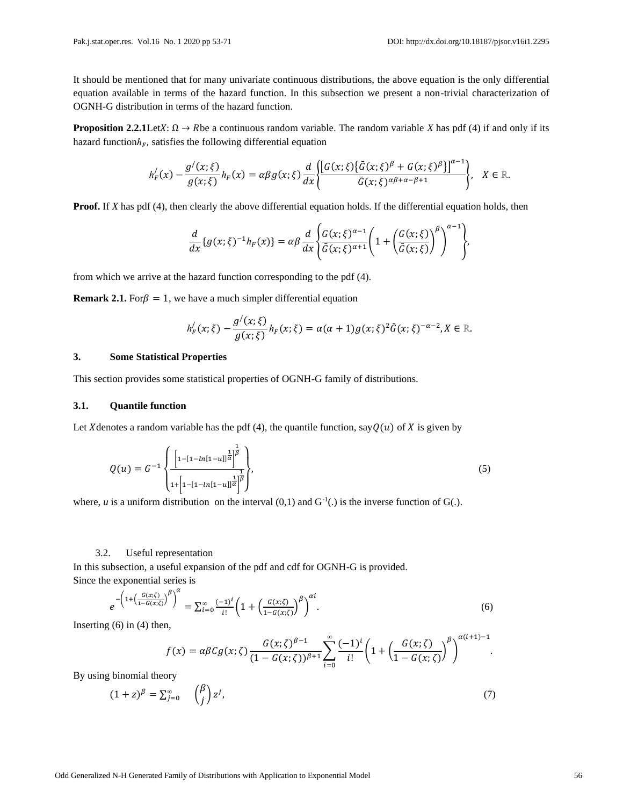It should be mentioned that for many univariate continuous distributions, the above equation is the only differential equation available in terms of the hazard function. In this subsection we present a non-trivial characterization of OGNH-G distribution in terms of the hazard function.

**Proposition 2.2.1**Let $X: \Omega \to R$  be a continuous random variable. The random variable *X* has pdf (4) if and only if its hazard function $h_F$ , satisfies the following differential equation

$$
h'_{F}(x)-\frac{g'(x;\xi)}{g(x;\xi)}h_{F}(x)=\alpha\beta g(x;\xi)\frac{d}{dx}\left\{\frac{\left[G(x;\xi)\left\{\bar{G}(x;\xi)^{\beta}+G(x;\xi)^{\beta}\right\}\right]^{\alpha-1}}{\bar{G}(x;\xi)^{\alpha\beta+\alpha-\beta+1}}\right\},\quad X\in\mathbb{R}.
$$

**Proof.** If *X* has pdf (4), then clearly the above differential equation holds. If the differential equation holds, then

$$
\frac{d}{dx}\left\{g(x;\xi)^{-1}h_F(x)\right\}=\alpha\beta\frac{d}{dx}\left\{\frac{G(x;\xi)^{\alpha-1}}{\bar{G}(x;\xi)^{\alpha+1}}\left(1+\left(\frac{G(x;\xi)}{\bar{G}(x;\xi)}\right)^{\beta}\right)^{\alpha-1}\right\},\,
$$

from which we arrive at the hazard function corresponding to the pdf (4).

**Remark 2.1.** For  $\beta = 1$ , we have a much simpler differential equation

$$
h'_{F}(x;\xi)-\frac{g'(\overline{x};\xi)}{g(\overline{x};\xi)}h_{F}(x;\xi)=\alpha(\alpha+1)g(x;\xi)^{2}\bar{G}(x;\xi)^{-\alpha-2},X\in\mathbb{R}.
$$

#### **3. Some Statistical Properties**

This section provides some statistical properties of OGNH-G family of distributions.

#### **3.1. Quantile function**

Let X denotes a random variable has the pdf (4), the quantile function, say  $Q(u)$  of X is given by

$$
Q(u) = G^{-1} \left\{ \frac{\left[1 - [1 - \ln[1 - u]]^{\frac{1}{\alpha}}\right]^{\frac{1}{\beta}}}{1 + \left[1 - [1 - \ln[1 - u]]^{\frac{1}{\alpha}}\right]^{\frac{1}{\beta}}}\right\},\tag{5}
$$

where, *u* is a uniform distribution on the interval  $(0,1)$  and  $G^{-1}(.)$  is the inverse function of  $G(.)$ .

#### 3.2. Useful representation

In this subsection, a useful expansion of the pdf and cdf for OGNH-G is provided. Since the exponential series is

$$
e^{-\left(1+\left(\frac{G(x;\zeta)}{1-G(x;\zeta)}\right)^{\beta}\right)^{\alpha}} = \sum_{i=0}^{\infty} \frac{(-1)^i}{i!} \left(1+\left(\frac{G(x;\zeta)}{1-G(x;\zeta)}\right)^{\beta}\right)^{\alpha i}.
$$
\n(6)

Inserting  $(6)$  in  $(4)$  then,

$$
f(x) = \alpha \beta C g(x; \zeta) \frac{G(x; \zeta)^{\beta - 1}}{(1 - G(x; \zeta))^{\beta + 1}} \sum_{i = 0}^{\infty} \frac{(-1)^i}{i!} \left( 1 + \left( \frac{G(x; \zeta)}{1 - G(x; \zeta)} \right)^{\beta} \right)^{\alpha(i+1) - 1}.
$$

By using binomial theory

$$
(1+z)^{\beta} = \sum_{j=0}^{\infty} \binom{\beta}{j} z^j, \tag{7}
$$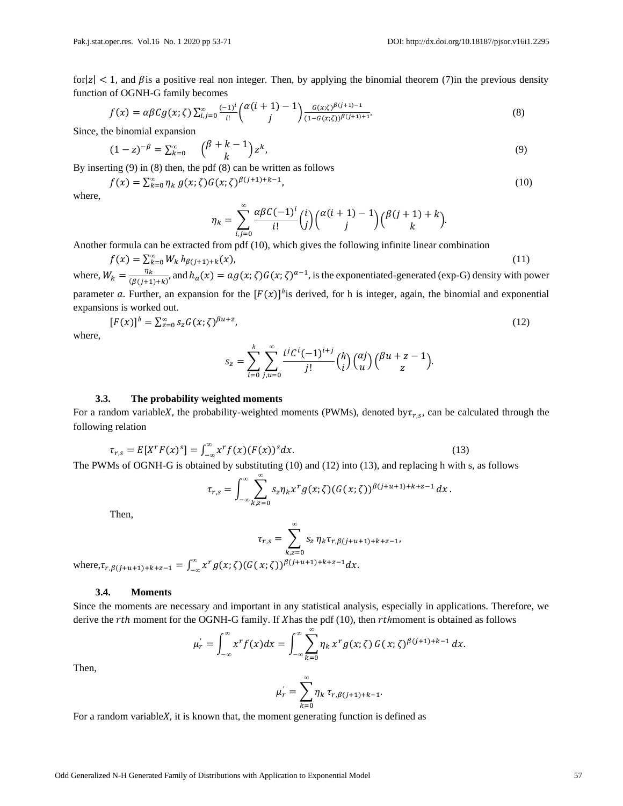for  $|z| < 1$ , and  $\beta$  is a positive real non integer. Then, by applying the binomial theorem (7)in the previous density function of OGNH-G family becomes

$$
f(x) = \alpha \beta C g(x; \zeta) \sum_{i,j=0}^{\infty} \frac{(-1)^i}{i!} {(\alpha(i+1)-1) \choose j} \frac{G(x;\zeta)^{\beta(j+1)-1}}{(1-G(x;\zeta))^{\beta(j+1)+1}}.
$$
 (8)

Since, the binomial expansion

$$
(1-z)^{-\beta} = \sum_{k=0}^{\infty} \binom{\beta+k-1}{k} z^k,
$$
\n(9)

By inserting (9) in (8) then, the pdf (8) can be written as follows

$$
f(x) = \sum_{k=0}^{\infty} \eta_k g(x; \zeta) G(x; \zeta)^{\beta(j+1)+k-1},
$$
\n(10)

where,

$$
\eta_k = \sum_{i,j=0}^{\infty} \frac{\alpha \beta C (-1)^i}{i!} {i \choose j} {\alpha (i+1) - 1 \choose j} {\beta (j+1) + k \choose k}.
$$

Another formula can be extracted from pdf (10), which gives the following infinite linear combination

$$
f(x) = \sum_{k=0}^{\infty} W_k h_{\beta(j+1)+k}(x),
$$
\n(11)

where,  $W_k = \frac{\eta_k}{(R(i+1))}$  $\frac{\eta_k}{(\beta(j+1)+k)}$  and  $h_a(x) = ag(x;\zeta)G(x;\zeta)^{a-1}$ , is the exponentiated-generated (exp-G) density with power parameter a. Further, an expansion for the  $[F(x)]^h$  is derived, for h is integer, again, the binomial and exponential expansions is worked out.

$$
[F(x)]^h = \sum_{z=0}^{\infty} s_z G(x;\zeta)^{\beta u+z},\tag{12}
$$

where,

$$
s_z = \sum_{i=0}^h \sum_{j,u=0}^\infty \frac{i^j C^i (-1)^{i+j}}{j!} {h \choose i} {a j \choose u} {b u + z - 1 \choose z}.
$$

#### **3.3. The probability weighted moments**

For a random variableX, the probability-weighted moments (PWMs), denoted by  $\tau_{r,s}$ , can be calculated through the following relation

$$
\tau_{r,s} = E[X^r F(x)^s] = \int_{-\infty}^{\infty} x^r f(x) (F(x))^s dx. \tag{13}
$$

The PWMs of OGNH-G is obtained by substituting (10) and (12) into (13), and replacing h with s, as follows

$$
\tau_{r,s} = \int_{-\infty}^{\infty} \sum_{k,z=0}^{\infty} s_z \eta_k x^r g(x;\zeta) (G(x;\zeta))^{\beta(j+u+1)+k+z-1} dx.
$$

Then,

$$
\tau_{r,s} = \sum_{k,z=0}^{\infty} s_z \eta_k \tau_{r,\beta(j+u+1)+k+z-1},
$$

where, $\tau_{r,\beta(j+u+1)+k+z-1} = \int_{-\infty}^{\infty} x^r g(x;\zeta) (G(x;\zeta))^{\beta(j+u+1)+k+z-1} dx$ .

#### **3.4. Moments**

Since the moments are necessary and important in any statistical analysis, especially in applications. Therefore, we derive the rth moment for the OGNH-G family. If Xhas the pdf (10), then *rth* moment is obtained as follows

$$
\mu_r' = \int_{-\infty}^{\infty} x^r f(x) dx = \int_{-\infty}^{\infty} \sum_{k=0}^{\infty} \eta_k x^r g(x; \zeta) G(x; \zeta)^{\beta(j+1)+k-1} dx.
$$

Then,

$$
\mu_r' = \sum_{k=0}^{\infty} \eta_k \, \tau_{r, \beta(j+1) + k - 1}.
$$

For a random variable $X$ , it is known that, the moment generating function is defined as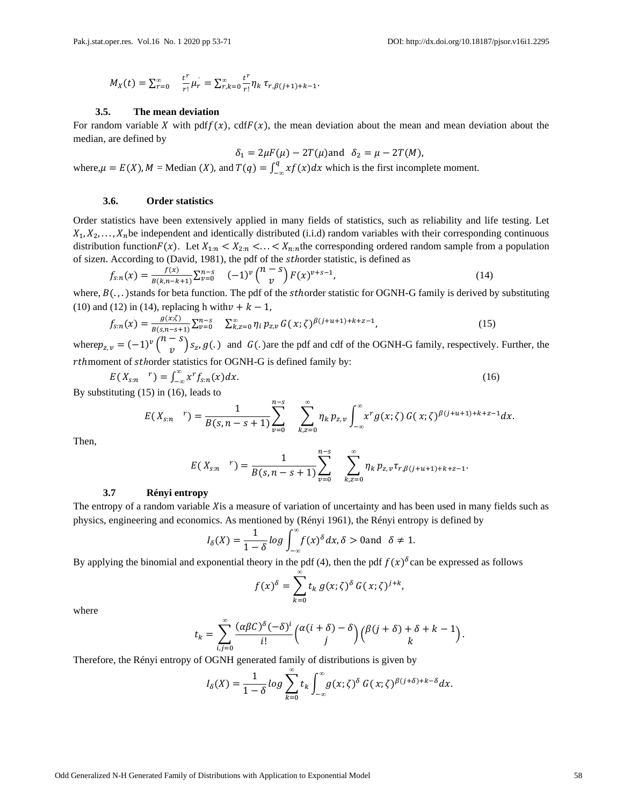$$
M_X(t) = \sum_{r=0}^{\infty} \frac{t^r}{r!} \mu_r = \sum_{r,k=0}^{\infty} \frac{t^r}{r!} \eta_k \tau_{r,\beta(j+1)+k-1}.
$$

#### **3.5. The mean deviation**

For random variable X with pdf $f(x)$ , cdf $F(x)$ , the mean deviation about the mean and mean deviation about the median, are defined by

$$
\delta_1 = 2\mu F(\mu) - 2T(\mu) \text{ and } \delta_2 = \mu - 2T(M),
$$

where,  $\mu = E(X)$ ,  $M = \text{Median}(X)$ , and  $T(q) = \int_{-\infty}^{q} xf(x) dx$  which is the first incomplete moment.

#### **3.6. Order statistics**

Order statistics have been extensively applied in many fields of statistics, such as reliability and life testing. Let  $X_1, X_2, \ldots, X_n$  be independent and identically distributed (i.i.d) random variables with their corresponding continuous distribution function $F(x)$ . Let  $X_{1:n} < X_{2:n} < ... < X_{n:n}$  the corresponding ordered random sample from a population of sizen. According to (David, 1981), the pdf of the *sthorder statistic*, is defined as

$$
f_{s:n}(x) = \frac{f(x)}{B(k,n-k+1)} \sum_{\nu=0}^{n-s} (-1)^{\nu} {n-s \choose \nu} F(x)^{\nu+s-1},
$$
\n(14)

where,  $B(.)$ , )stands for beta function. The pdf of the *sthorder statistic for OGNH-G family is derived by substituting* (10) and (12) in (14), replacing h with  $\nu + k - 1$ ,

$$
f_{s:n}(x) = \frac{g(x;\zeta)}{g(s,n-s+1)} \sum_{\nu=0}^{n-s} \sum_{k,z=0}^{\infty} \eta_i p_{z,\nu} G(x;\zeta)^{\beta(j+u+1)+k+z-1},
$$
(15)

where  $p_{z,v} = (-1)^v \binom{n-s}{v}$  $\int_{v}^{5}$   $\int$   $S_z$ ,  $g(.)$  and  $G(.)$  are the pdf and cdf of the OGNH-G family, respectively. Further, the rthmoment of *sthorder statistics* for OGNH-G is defined family by:

$$
E(X_{s:n} \t^n) = \int_{-\infty}^{\infty} x^r f_{s:n}(x) dx.
$$
 (16)

By substituting (15) in (16), leads to

$$
E(X_{s:n}^r) = \frac{1}{B(s,n-s+1)} \sum_{\nu=0}^{n-s} \sum_{k,z=0}^{\infty} \eta_k p_{z,\nu} \int_{-\infty}^{\infty} x^r g(x;\zeta) G(x;\zeta)^{\beta(j+u+1)+k+z-1} dx.
$$

Then,

$$
E(X_{s:n} \mid r) = \frac{1}{B(s,n-s+1)} \sum_{\nu=0}^{n-s} \sum_{k,z=0}^{\infty} \eta_k p_{z,\nu} \tau_{r,\beta(j+u+1)+k+z-1}.
$$

#### **3.7 Rényi entropy**

The entropy of a random variable  $X$  is a measure of variation of uncertainty and has been used in many fields such as physics, engineering and economics. As mentioned by (Rényi 1961), the Rényi entropy is defined by

$$
I_{\delta}(X) = \frac{1}{1-\delta} \log \int_{-\infty}^{\infty} f(x)^{\delta} dx, \delta > 0 \text{ and } \delta \neq 1.
$$

By applying the binomial and exponential theory in the pdf (4), then the pdf  $f(x)$ <sup> $\delta$ </sup>can be expressed as follows

$$
f(x)^{\delta} = \sum_{k=0}^{\infty} t_k g(x; \zeta)^{\delta} G(x; \zeta)^{j+k},
$$

where

$$
t_k = \sum_{i,j=0}^{\infty} \frac{(\alpha \beta C)^{\delta} (-\delta)^i}{i!} {\alpha(i+\delta) - \delta \choose j} {\beta(j+\delta) + \delta + k - 1 \choose k}.
$$

Therefore, the Rényi entropy of OGNH generated family of distributions is given by

$$
I_{\delta}(X) = \frac{1}{1-\delta} \log \sum_{k=0}^{\infty} t_k \int_{-\infty}^{\infty} g(x;\zeta)^{\delta} G(x;\zeta)^{\beta(j+\delta)+k-\delta} dx.
$$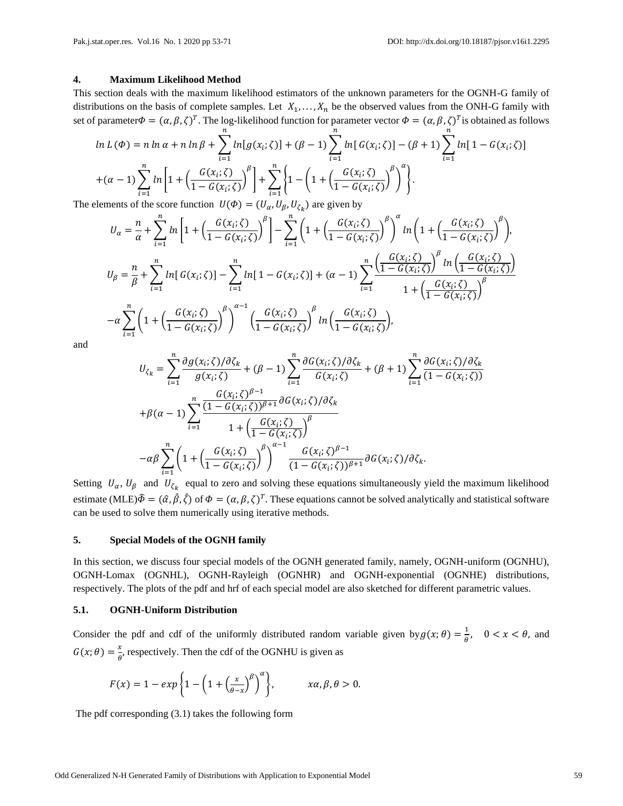### **4. Maximum Likelihood Method**

This section deals with the maximum likelihood estimators of the unknown parameters for the OGNH-G family of distributions on the basis of complete samples. Let  $X_1, \ldots, X_n$  be the observed values from the ONH-G family with set of parameter $\Phi = (\alpha, \beta, \zeta)^T$ . The log-likelihood function for parameter vector  $\Phi = (\alpha, \beta, \zeta)^T$ is obtained as follows

$$
\ln L(\Phi) = n \ln \alpha + n \ln \beta + \sum_{i=1}^{n} \ln[g(x_i; \zeta)] + (\beta - 1) \sum_{i=1}^{n} \ln[G(x_i; \zeta)] - (\beta + 1) \sum_{i=1}^{n} \ln[1 - G(x_i; \zeta)]
$$

$$
+ (\alpha - 1) \sum_{i=1}^{n} \ln\left[1 + \left(\frac{G(x_i; \zeta)}{1 - G(x_i; \zeta)}\right)^{\beta}\right] + \sum_{i=1}^{n} \left\{1 - \left(1 + \left(\frac{G(x_i; \zeta)}{1 - G(x_i; \zeta)}\right)^{\beta}\right)^{\alpha}\right\}.
$$

The elements of the score function  $U(\Phi) = (U_{\alpha}, U_{\beta}, U_{\zeta_k})$  are given by

$$
U_{\alpha} = \frac{n}{\alpha} + \sum_{i=1}^{n} \ln \left[ 1 + \left( \frac{G(x_{i};\zeta)}{1 - G(x_{i};\zeta)} \right)^{\beta} \right] - \sum_{i=1}^{n} \left( 1 + \left( \frac{G(x_{i};\zeta)}{1 - G(x_{i};\zeta)} \right)^{\beta} \right)^{\alpha} \ln \left( 1 + \left( \frac{G(x_{i};\zeta)}{1 - G(x_{i};\zeta)} \right)^{\beta} \right),
$$
  
\n
$$
U_{\beta} = \frac{n}{\beta} + \sum_{i=1}^{n} \ln \left[ G(x_{i};\zeta) \right] - \sum_{i=1}^{n} \ln \left[ 1 - G(x_{i};\zeta) \right] + (\alpha - 1) \sum_{i=1}^{n} \frac{\left( \frac{G(x_{i};\zeta)}{1 - G(x_{i};\zeta)} \right)^{\beta} \ln \left( \frac{G(x_{i};\zeta)}{1 - G(x_{i};\zeta)} \right)}{1 + \left( \frac{G(x_{i};\zeta)}{1 - G(x_{i};\zeta)} \right)^{\beta}}
$$
  
\n
$$
-\alpha \sum_{i=1}^{n} \left( 1 + \left( \frac{G(x_{i};\zeta)}{1 - G(x_{i};\zeta)} \right)^{\beta} \right)^{\alpha - 1} \left( \frac{G(x_{i};\zeta)}{1 - G(x_{i};\zeta)} \right)^{\beta} \ln \left( \frac{G(x_{i};\zeta)}{1 - G(x_{i};\zeta)} \right),
$$

and

$$
U_{\zeta_k} = \sum_{i=1}^n \frac{\partial g(x_i; \zeta)/\partial \zeta_k}{g(x_i; \zeta)} + (\beta - 1) \sum_{i=1}^n \frac{\partial G(x_i; \zeta)/\partial \zeta_k}{G(x_i; \zeta)} + (\beta + 1) \sum_{i=1}^n \frac{\partial G(x_i; \zeta)/\partial \zeta_k}{(1 - G(x_i; \zeta))}
$$

$$
+ \beta(\alpha - 1) \sum_{i=1}^n \frac{\frac{G(x_i; \zeta)^{\beta - 1}}{(1 - G(x_i; \zeta))^{\beta + 1}} \partial G(x_i; \zeta)/\partial \zeta_k}{1 + \left(\frac{G(x_i; \zeta)}{1 - G(x_i; \zeta)}\right)^{\beta}}
$$

$$
-\alpha \beta \sum_{i=1}^n \left(1 + \left(\frac{G(x_i; \zeta)}{1 - G(x_i; \zeta)}\right)^{\beta}\right)^{\alpha - 1} \frac{G(x_i; \zeta)^{\beta - 1}}{(1 - G(x_i; \zeta))^{\beta + 1}} \partial G(x_i; \zeta)/\partial \zeta_k.
$$

Setting  $U_{\alpha}$ ,  $U_{\beta}$  and  $U_{\zeta_k}$  equal to zero and solving these equations simultaneously yield the maximum likelihood estimate (MLE) $\hat{\Phi} = (\hat{\alpha}, \hat{\beta}, \hat{\zeta})$  of  $\Phi = (\alpha, \beta, \zeta)^T$ . These equations cannot be solved analytically and statistical software can be used to solve them numerically using iterative methods.

#### **5. Special Models of the OGNH family**

In this section, we discuss four special models of the OGNH generated family, namely, OGNH-uniform (OGNHU), OGNH-Lomax (OGNHL), OGNH-Rayleigh (OGNHR) and OGNH-exponential (OGNHE) distributions, respectively. The plots of the pdf and hrf of each special model are also sketched for different parametric values.

# **5.1. OGNH-Uniform Distribution**

Consider the pdf and cdf of the uniformly distributed random variable given by  $g(x; \theta) = \frac{1}{\theta}$  $\frac{1}{\theta}$ ,  $0 < x < \theta$ , and  $G(x; \theta) = \frac{x}{\theta}$  $\frac{\lambda}{\theta}$ , respectively. Then the cdf of the OGNHU is given as

$$
F(x) = 1 - exp\left\{1 - \left(1 + \left(\frac{x}{\theta - x}\right)^{\beta}\right)^{\alpha}\right\}, \qquad xa, \beta, \theta > 0.
$$

The pdf corresponding (3.1) takes the following form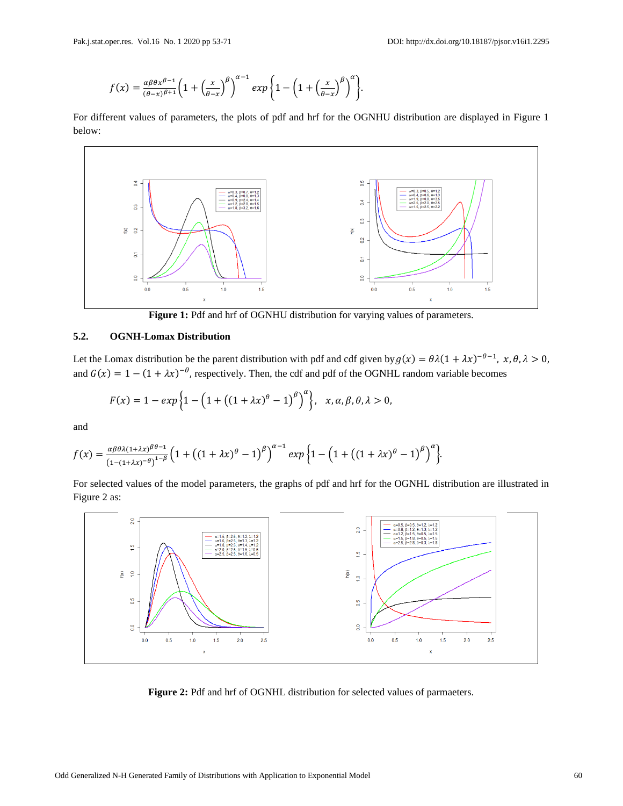$$
f(x) = \frac{\alpha \beta \theta x^{\beta-1}}{(\theta-x)^{\beta+1}} \left(1 + \left(\frac{x}{\theta-x}\right)^{\beta}\right)^{\alpha-1} \exp\left\{1 - \left(1 + \left(\frac{x}{\theta-x}\right)^{\beta}\right)^{\alpha}\right\}.
$$

For different values of parameters, the plots of pdf and hrf for the OGNHU distribution are displayed in Figure 1 below:



Figure 1: Pdf and hrf of OGNHU distribution for varying values of parameters.

### **5.2. OGNH-Lomax Distribution**

Let the Lomax distribution be the parent distribution with pdf and cdf given by  $g(x) = \theta \lambda (1 + \lambda x)^{-\theta - 1}$ ,  $x, \theta, \lambda > 0$ , and  $G(x) = 1 - (1 + \lambda x)^{-\theta}$ , respectively. Then, the cdf and pdf of the OGNHL random variable becomes

$$
F(x) = 1 - exp \left\{ 1 - \left( 1 + \left( (1 + \lambda x)^{\theta} - 1 \right)^{\beta} \right)^{\alpha} \right\}, \quad x, \alpha, \beta, \theta, \lambda > 0,
$$

and

$$
f(x) = \frac{\alpha \beta \theta \lambda (1+\lambda x)^{\beta \theta-1}}{(1-(1+\lambda x)^{-\theta})^{1-\beta}} \Big(1+\big((1+\lambda x)^{\theta}-1\big)^{\beta}\Big)^{\alpha-1} \exp\Big\{1-\Big(1+\big((1+\lambda x)^{\theta}-1\big)^{\beta}\Big)^{\alpha}\Big\}.
$$

For selected values of the model parameters, the graphs of pdf and hrf for the OGNHL distribution are illustrated in Figure 2 as:



**Figure 2:** Pdf and hrf of OGNHL distribution for selected values of parmaeters.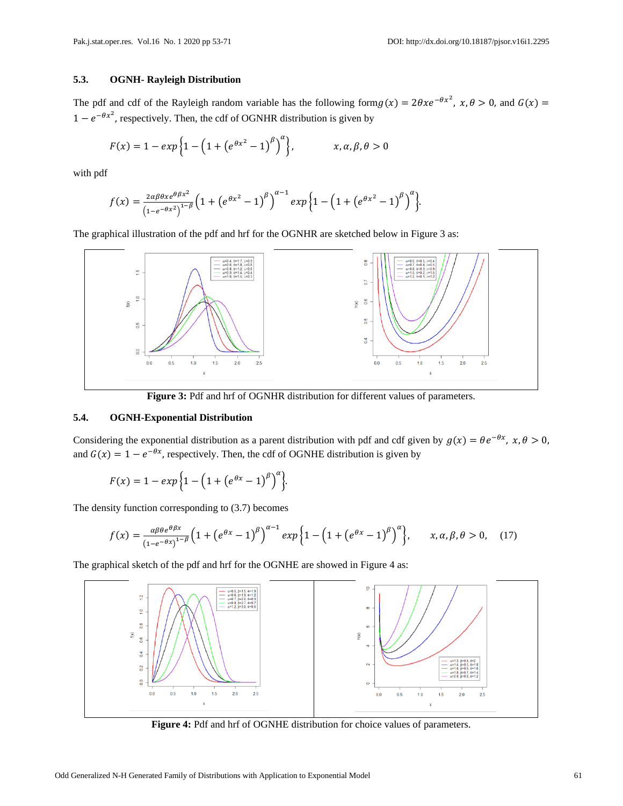# **5.3. OGNH- Rayleigh Distribution**

The pdf and cdf of the Rayleigh random variable has the following form  $g(x) = 2\theta x e^{-\theta x^2}$ ,  $x, \theta > 0$ , and  $G(x) =$  $1 - e^{-\theta x^2}$ , respectively. Then, the cdf of OGNHR distribution is given by

$$
F(x) = 1 - exp\left\{1 - \left(1 + \left(e^{\theta x^2} - 1\right)^{\beta}\right)^{\alpha}\right\}, \qquad x, \alpha, \beta, \theta > 0
$$

with pdf

$$
f(x) = \frac{2\alpha\beta\theta x e^{\theta\beta x^2}}{\left(1 - e^{-\theta x^2}\right)^{1-\beta}} \left(1 + \left(e^{\theta x^2} - 1\right)^{\beta}\right)^{\alpha-1} \exp\left\{1 - \left(1 + \left(e^{\theta x^2} - 1\right)^{\beta}\right)^{\alpha}\right\}.
$$

The graphical illustration of the pdf and hrf for the OGNHR are sketched below in Figure 3 as:



**Figure 3:** Pdf and hrf of OGNHR distribution for different values of parameters.

## **5.4. OGNH-Exponential Distribution**

Considering the exponential distribution as a parent distribution with pdf and cdf given by  $g(x) = \theta e^{-\theta x}$ ,  $x, \theta > 0$ , and  $G(x) = 1 - e^{-\theta x}$ , respectively. Then, the cdf of OGNHE distribution is given by

$$
F(x) = 1 - exp \left\{ 1 - \left( 1 + \left( e^{\theta x} - 1 \right)^{\beta} \right)^{\alpha} \right\}.
$$

The density function corresponding to (3.7) becomes

$$
f(x) = \frac{\alpha \beta \theta e^{\theta \beta x}}{\left(1 + \left(e^{\theta x} - 1\right)^{\beta}\right)^{\alpha - 1}} \exp\left\{1 - \left(1 + \left(e^{\theta x} - 1\right)^{\beta}\right)^{\alpha}\right\}, \qquad x, \alpha, \beta, \theta > 0, \quad (17)
$$

The graphical sketch of the pdf and hrf for the OGNHE are showed in Figure 4 as:



**Figure 4:** Pdf and hrf of OGNHE distribution for choice values of parameters.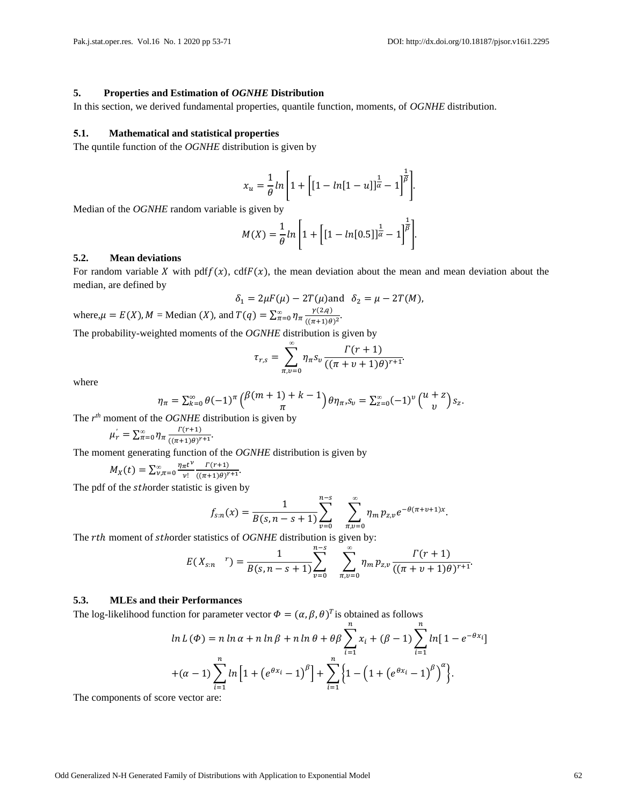#### **5. Properties and Estimation of** *OGNHE* **Distribution**

In this section, we derived fundamental properties, quantile function, moments, of *OGNHE* distribution.

#### **5.1. Mathematical and statistical properties**

The quntile function of the *OGNHE* distribution is given by

$$
x_u = \frac{1}{\theta} \ln \left[ 1 + \left[ \left[ 1 - \ln \left[ 1 - u \right] \right] \right] \frac{1}{\alpha} - 1 \right]^{\frac{1}{\beta}} \right].
$$

Median of the *OGNHE* random variable is given by

$$
M(X) = \frac{1}{\theta} \ln \left[ 1 + \left[ [1 - \ln[0.5]]^{\frac{1}{\alpha}} - 1 \right]^{\frac{1}{\beta}} \right].
$$

# **5.2. Mean deviations**

For random variable X with pdf $f(x)$ , cdf $F(x)$ , the mean deviation about the mean and mean deviation about the median, are defined by

$$
\delta_1 = 2\mu F(\mu) - 2T(\mu) \text{ and } \delta_2 = \mu - 2T(M),
$$

where, 
$$
\mu = E(X)
$$
,  $M = \text{Median}(X)$ , and  $T(q) = \sum_{n=0}^{\infty} \eta_n \frac{\gamma(2,q)}{((\pi+1)\theta)^2}$ .

The probability-weighted moments of the *OGNHE* distribution is given by

$$
\tau_{r,s} = \sum_{\pi,v=0}^{\infty} \eta_{\pi} s_v \frac{\Gamma(r+1)}{((\pi+v+1)\theta)^{r+1}}.
$$

where

$$
\eta_{\pi} = \sum_{k=0}^{\infty} \theta(-1)^{\pi} \binom{\beta(m+1)+k-1}{\pi} \theta \eta_{\pi}, S_{\nu} = \sum_{z=0}^{\infty} (-1)^{\nu} \binom{u+z}{\nu} S_z.
$$

The  $r^{th}$  moment of the *OGNHE* distribution is given by

$$
\mu_r^{'} = \sum_{\pi=0}^{\infty} \eta_{\pi} \frac{\Gamma(r+1)}{((\pi+1)\theta)^{r+1}}.
$$

The moment generating function of the *OGNHE* distribution is given by

$$
M_X(t) = \sum_{\nu,\pi=0}^{\infty} \frac{\eta_{\pi} t^{\nu}}{\nu!} \frac{\Gamma(r+1)}{((\pi+1)\theta)^{r+1}}.
$$

The pdf of the *sthorder* statistic is given by

$$
f_{s:n}(x) = \frac{1}{B(s,n-s+1)} \sum_{\nu=0}^{n-s} \sum_{\pi,\nu=0}^{\infty} \eta_m p_{z,\nu} e^{-\theta(\pi+\nu+1)x}.
$$

The *rth* moment of *sthorder statistics of OGNHE* distribution is given by:  $n - c$ 

$$
E(X_{s:n}^r) = \frac{1}{B(s,n-s+1)} \sum_{v=0}^{n-s} \sum_{n,v=0}^{\infty} \eta_m p_{z,v} \frac{\Gamma(r+1)}{((\pi+v+1)\theta)^{r+1}}.
$$

#### **5.3. MLEs and their Performances**

The log-likelihood function for parameter vector  $\Phi = (\alpha, \beta, \theta)^T$  is obtained as follows

$$
\ln L(\Phi) = n \ln \alpha + n \ln \beta + n \ln \theta + \theta \beta \sum_{i=1}^{n} x_i + (\beta - 1) \sum_{i=1}^{n} \ln [1 - e^{-\theta x_i}]
$$

$$
+(\alpha - 1) \sum_{i=1}^{n} \ln [1 + (e^{\theta x_i} - 1)^{\beta}] + \sum_{i=1}^{n} \left\{ 1 - (1 + (e^{\theta x_i} - 1)^{\beta})^{\alpha} \right\}.
$$

The components of score vector are: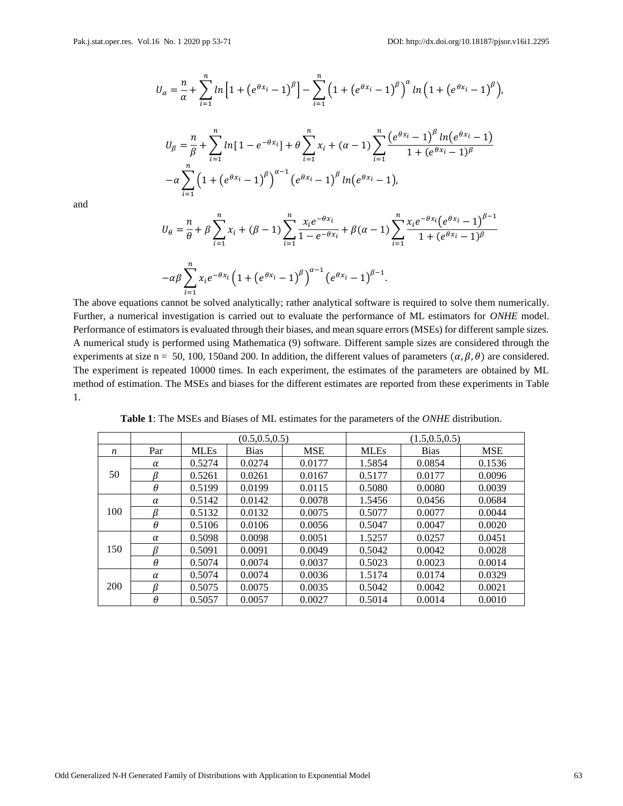$i=1$ 

$$
U_{\alpha} = \frac{n}{\alpha} + \sum_{i=1}^{n} \ln \left[ 1 + \left( e^{\theta x_{i}} - 1 \right)^{\beta} \right] - \sum_{i=1}^{n} \left( 1 + \left( e^{\theta x_{i}} - 1 \right)^{\beta} \right)^{\alpha} \ln \left( 1 + \left( e^{\theta x_{i}} - 1 \right)^{\beta} \right),
$$
  

$$
U_{\beta} = \frac{n}{\beta} + \sum_{i=1}^{n} \ln \left[ 1 - e^{-\theta x_{i}} \right] + \theta \sum_{i=1}^{n} x_{i} + (\alpha - 1) \sum_{i=1}^{n} \frac{\left( e^{\theta x_{i}} - 1 \right)^{\beta} \ln \left( e^{\theta x_{i}} - 1 \right)}{1 + \left( e^{\theta x_{i}} - 1 \right)^{\beta}}
$$
  

$$
-\alpha \sum_{i=1}^{n} \left( 1 + \left( e^{\theta x_{i}} - 1 \right)^{\beta} \right)^{\alpha - 1} \left( e^{\theta x_{i}} - 1 \right)^{\beta} \ln \left( e^{\theta x_{i}} - 1 \right),
$$

and

$$
U_{\theta} = \frac{n}{\theta} + \beta \sum_{i=1}^{n} x_i + (\beta - 1) \sum_{i=1}^{n} \frac{x_i e^{-\theta x_i}}{1 - e^{-\theta x_i}} + \beta(\alpha - 1) \sum_{i=1}^{n} \frac{x_i e^{-\theta x_i} (e^{\theta x_i} - 1)^{\beta - 1}}{1 + (e^{\theta x_i} - 1)^{\beta}}
$$

$$
-\alpha \beta \sum_{i=1}^{n} x_i e^{-\theta x_i} \left(1 + (e^{\theta x_i} - 1)^{\beta}\right)^{\alpha - 1} \left(e^{\theta x_i} - 1\right)^{\beta - 1}.
$$

The above equations cannot be solved analytically; rather analytical software is required to solve them numerically. Further, a numerical investigation is carried out to evaluate the performance of ML estimators for *ONHE* model. Performance of estimators is evaluated through their biases, and mean square errors (MSEs) for different sample sizes. A numerical study is performed using Mathematica (9) software. Different sample sizes are considered through the experiments at size n = 50, 100, 150and 200. In addition, the different values of parameters  $(\alpha, \beta, \theta)$  are considered. The experiment is repeated 10000 times. In each experiment, the estimates of the parameters are obtained by ML method of estimation. The MSEs and biases for the different estimates are reported from these experiments in Table 1.

|     |          |             | (0.5, 0.5, 0.5) |            | (1.5, 0.5, 0.5) |             |            |  |
|-----|----------|-------------|-----------------|------------|-----------------|-------------|------------|--|
| n   | Par      | <b>MLEs</b> | <b>Bias</b>     | <b>MSE</b> | <b>MLEs</b>     | <b>Bias</b> | <b>MSE</b> |  |
|     | α        | 0.5274      | 0.0274          | 0.0177     | 1.5854          | 0.0854      | 0.1536     |  |
| 50  | ß        | 0.5261      | 0.0261          | 0.0167     | 0.5177          | 0.0177      | 0.0096     |  |
|     | $\theta$ | 0.5199      | 0.0199          | 0.0115     | 0.5080          | 0.0080      | 0.0039     |  |
| 100 | $\alpha$ | 0.5142      | 0.0142          | 0.0078     | 1.5456          | 0.0456      | 0.0684     |  |
|     | ß        | 0.5132      | 0.0132          | 0.0075     | 0.5077          | 0.0077      | 0.0044     |  |
|     | $\theta$ | 0.5106      | 0.0106          | 0.0056     | 0.5047          | 0.0047      | 0.0020     |  |
|     | $\alpha$ | 0.5098      | 0.0098          | 0.0051     | 1.5257          | 0.0257      | 0.0451     |  |
| 150 | ß        | 0.5091      | 0.0091          | 0.0049     | 0.5042          | 0.0042      | 0.0028     |  |
|     | $\theta$ | 0.5074      | 0.0074          | 0.0037     | 0.5023          | 0.0023      | 0.0014     |  |
| 200 | $\alpha$ | 0.5074      | 0.0074          | 0.0036     | 1.5174          | 0.0174      | 0.0329     |  |
|     | ß        | 0.5075      | 0.0075          | 0.0035     | 0.5042          | 0.0042      | 0.0021     |  |
|     | $\theta$ | 0.5057      | 0.0057          | 0.0027     | 0.5014          | 0.0014      | 0.0010     |  |

**Table 1**: The MSEs and Biases of ML estimates for the parameters of the *ONHE* distribution.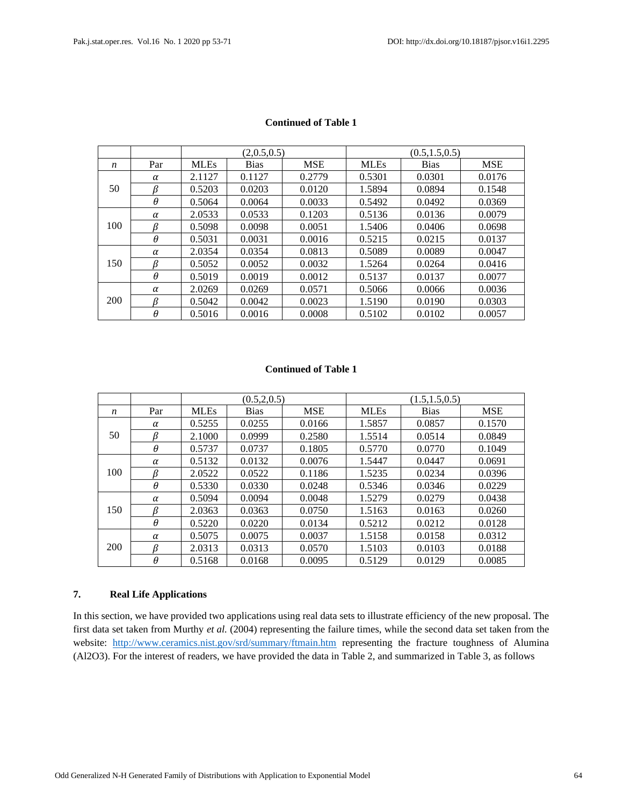|     |     |             | (2,0.5,0.5) |            | (0.5, 1.5, 0.5) |             |            |  |  |
|-----|-----|-------------|-------------|------------|-----------------|-------------|------------|--|--|
| n   | Par | <b>MLEs</b> | <b>Bias</b> | <b>MSE</b> | <b>MLEs</b>     | <b>Bias</b> | <b>MSE</b> |  |  |
|     | α   | 2.1127      | 0.1127      | 0.2779     | 0.5301          | 0.0301      | 0.0176     |  |  |
| 50  | ß   | 0.5203      | 0.0203      | 0.0120     | 1.5894          | 0.0894      | 0.1548     |  |  |
|     | θ   | 0.5064      | 0.0064      | 0.0033     | 0.5492          | 0.0492      | 0.0369     |  |  |
| 100 | α   | 2.0533      | 0.0533      | 0.1203     | 0.5136          | 0.0136      | 0.0079     |  |  |
|     | ß   | 0.5098      | 0.0098      | 0.0051     | 1.5406          | 0.0406      | 0.0698     |  |  |
|     | θ   | 0.5031      | 0.0031      | 0.0016     | 0.5215          | 0.0215      | 0.0137     |  |  |
|     | α   | 2.0354      | 0.0354      | 0.0813     | 0.5089          | 0.0089      | 0.0047     |  |  |
| 150 | R   | 0.5052      | 0.0052      | 0.0032     | 1.5264          | 0.0264      | 0.0416     |  |  |
|     | θ   | 0.5019      | 0.0019      | 0.0012     | 0.5137          | 0.0137      | 0.0077     |  |  |
| 200 | α   | 2.0269      | 0.0269      | 0.0571     | 0.5066          | 0.0066      | 0.0036     |  |  |
|     |     | 0.5042      | 0.0042      | 0.0023     | 1.5190          | 0.0190      | 0.0303     |  |  |
|     | θ   | 0.5016      | 0.0016      | 0.0008     | 0.5102          | 0.0102      | 0.0057     |  |  |

# **Continued of Table 1**

## **Continued of Table 1**

|     |          |             | (0.5, 2, 0.5) |            | (1.5, 1.5, 0.5) |             |            |  |
|-----|----------|-------------|---------------|------------|-----------------|-------------|------------|--|
| n   | Par      | <b>MLEs</b> | <b>Bias</b>   | <b>MSE</b> | <b>MLEs</b>     | <b>Bias</b> | <b>MSE</b> |  |
|     | α        | 0.5255      | 0.0255        | 0.0166     | 1.5857          | 0.0857      | 0.1570     |  |
| 50  | ß        | 2.1000      | 0.0999        | 0.2580     | 1.5514          | 0.0514      | 0.0849     |  |
|     | θ        | 0.5737      | 0.0737        | 0.1805     | 0.5770          | 0.0770      | 0.1049     |  |
| 100 | α        | 0.5132      | 0.0132        | 0.0076     | 1.5447          | 0.0447      | 0.0691     |  |
|     | ß        | 2.0522      | 0.0522        | 0.1186     | 1.5235          | 0.0234      | 0.0396     |  |
|     | θ        | 0.5330      | 0.0330        | 0.0248     | 0.5346          | 0.0346      | 0.0229     |  |
|     | α        | 0.5094      | 0.0094        | 0.0048     | 1.5279          | 0.0279      | 0.0438     |  |
| 150 | ß        | 2.0363      | 0.0363        | 0.0750     | 1.5163          | 0.0163      | 0.0260     |  |
|     | θ        | 0.5220      | 0.0220        | 0.0134     | 0.5212          | 0.0212      | 0.0128     |  |
| 200 | $\alpha$ | 0.5075      | 0.0075        | 0.0037     | 1.5158          | 0.0158      | 0.0312     |  |
|     | ß        | 2.0313      | 0.0313        | 0.0570     | 1.5103          | 0.0103      | 0.0188     |  |
|     | θ        | 0.5168      | 0.0168        | 0.0095     | 0.5129          | 0.0129      | 0.0085     |  |

#### **7. Real Life Applications**

In this section, we have provided two applications using real data sets to illustrate efficiency of the new proposal. The first data set taken from Murthy *et al.* (2004) representing the failure times, while the second data set taken from the website: <http://www.ceramics.nist.gov/srd/summary/ftmain.htm> representing the fracture toughness of Alumina (Al2O3). For the interest of readers, we have provided the data in Table 2, and summarized in Table 3, as follows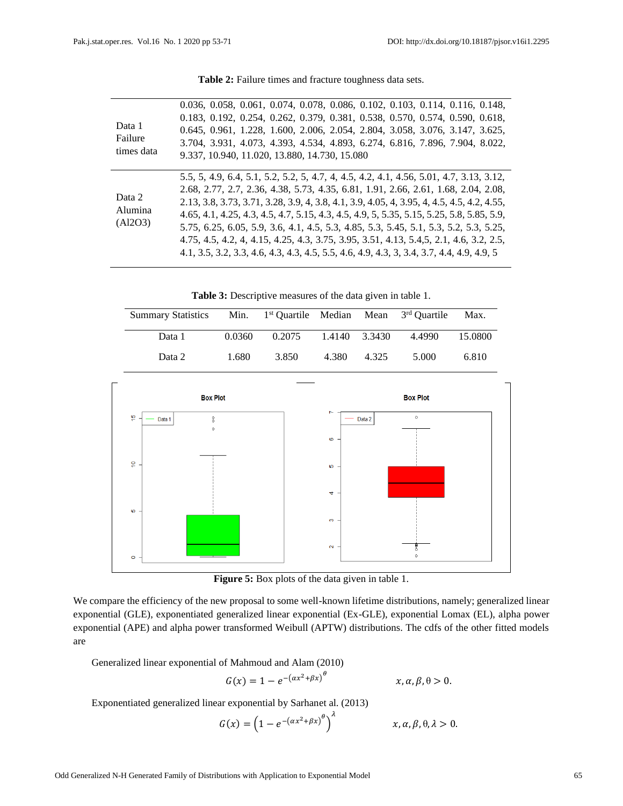| Data 1<br>Failure<br>times data | 0.036, 0.058, 0.061, 0.074, 0.078, 0.086, 0.102, 0.103, 0.114, 0.116, 0.148,<br>0.183, 0.192, 0.254, 0.262, 0.379, 0.381, 0.538, 0.570, 0.574, 0.590, 0.618,<br>0.645, 0.961, 1.228, 1.600, 2.006, 2.054, 2.804, 3.058, 3.076, 3.147, 3.625,<br>3.704, 3.931, 4.073, 4.393, 4.534, 4.893, 6.274, 6.816, 7.896, 7.904, 8.022,<br>9.337, 10.940, 11.020, 13.880, 14.730, 15.080                                                                                                                                                                                                                                                                        |
|---------------------------------|------------------------------------------------------------------------------------------------------------------------------------------------------------------------------------------------------------------------------------------------------------------------------------------------------------------------------------------------------------------------------------------------------------------------------------------------------------------------------------------------------------------------------------------------------------------------------------------------------------------------------------------------------|
| Data 2<br>Alumina<br>(A12O3)    | 5.5, 5, 4.9, 6.4, 5.1, 5.2, 5.2, 5, 4.7, 4, 4.5, 4.2, 4.1, 4.56, 5.01, 4.7, 3.13, 3.12,<br>2.68, 2.77, 2.7, 2.36, 4.38, 5.73, 4.35, 6.81, 1.91, 2.66, 2.61, 1.68, 2.04, 2.08,<br>2.13, 3.8, 3.73, 3.71, 3.28, 3.9, 4, 3.8, 4.1, 3.9, 4.05, 4, 3.95, 4, 4.5, 4.5, 4.2, 4.55,<br>4.65, 4.1, 4.25, 4.3, 4.5, 4.7, 5.15, 4.3, 4.5, 4.9, 5, 5.35, 5.15, 5.25, 5.8, 5.85, 5.9,<br>5.75, 6.25, 6.05, 5.9, 3.6, 4.1, 4.5, 5.3, 4.85, 5.3, 5.45, 5.1, 5.3, 5.2, 5.3, 5.25,<br>4.75, 4.5, 4.2, 4, 4.15, 4.25, 4.3, 3.75, 3.95, 3.51, 4.13, 5.4, 5, 2.1, 4.6, 3.2, 2.5,<br>4.1, 3.5, 3.2, 3.3, 4.6, 4.3, 4.5, 5.5, 4.6, 4.9, 4.3, 3, 3.4, 3.7, 4.4, 4.9, 4.9, 5 |

Table 2: Failure times and fracture toughness data sets.

**Table 3:** Descriptive measures of the data given in table 1.

| <b>Summary Statistics</b> |        | Min. 1 <sup>st</sup> Quartile Median Mean 3 <sup>rd</sup> Quartile |               |       |        | Max.    |
|---------------------------|--------|--------------------------------------------------------------------|---------------|-------|--------|---------|
| Data 1                    | 0.0360 | 0.2075                                                             | 1.4140 3.3430 |       | 4.4990 | 15.0800 |
| Data 2                    | 1.680  | 3.850                                                              | 4.380         | 4.325 | 5.000  | 6.810   |



**Figure 5:** Box plots of the data given in table 1.

We compare the efficiency of the new proposal to some well-known lifetime distributions, namely; generalized linear exponential (GLE), exponentiated generalized linear exponential (Ex-GLE), exponential Lomax (EL), alpha power exponential (APE) and alpha power transformed Weibull (APTW) distributions. The cdfs of the other fitted models are

Generalized linear exponential of Mahmoud and Alam (2010)

$$
G(x) = 1 - e^{-(\alpha x^2 + \beta x)^{\theta}} \qquad x, \alpha, \beta, \theta > 0.
$$

Exponentiated generalized linear exponential by Sarhanet al. (2013)

$$
G(x) = \left(1 - e^{-(\alpha x^2 + \beta x)^{\theta}}\right)^{\lambda} \qquad x, \alpha, \beta, \theta, \lambda > 0.
$$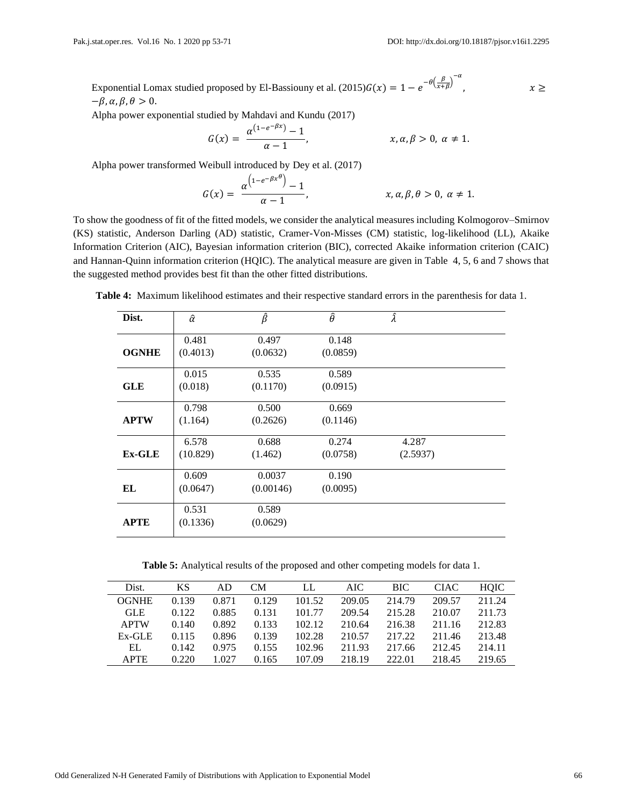$x \geq$ 

Exponential Lomax studied proposed by El-Bassiouny et al. (2015) $G(x) = 1 - e^{-\theta \left(\frac{\beta}{x+\beta}\right)^{-\alpha}}$  $-\beta$ ,  $\alpha$ ,  $\beta$ ,  $\theta > 0$ .

Alpha power exponential studied by Mahdavi and Kundu (2017)

$$
G(x) = \frac{\alpha^{(1-e^{-\beta x})}-1}{\alpha-1}, \qquad x, \alpha, \beta > 0, \alpha \neq 1.
$$

Alpha power transformed Weibull introduced by Dey et al. (2017)

$$
G(x) = \frac{\alpha^{\left(1-e^{-\beta x^{\theta}}\right)}-1}{\alpha-1}, \qquad x, \alpha, \beta, \theta > 0, \alpha \neq 1.
$$

To show the goodness of fit of the fitted models, we consider the analytical measures including Kolmogorov–Smirnov (KS) statistic, Anderson Darling (AD) statistic, Cramer-Von-Misses (CM) statistic, log-likelihood (LL), Akaike Information Criterion (AIC), Bayesian information criterion (BIC), corrected Akaike information criterion (CAIC) and Hannan-Quinn information criterion (HQIC). The analytical measure are given in Table 4, 5, 6 and 7 shows that the suggested method provides best fit than the other fitted distributions.

| Dist.         | $\hat{\alpha}$ | $\hat{\beta}$ | $\widehat{\theta}$ | Â        |  |
|---------------|----------------|---------------|--------------------|----------|--|
|               | 0.481          | 0.497         | 0.148              |          |  |
| <b>OGNHE</b>  | (0.4013)       | (0.0632)      | (0.0859)           |          |  |
|               | 0.015          | 0.535         | 0.589              |          |  |
| <b>GLE</b>    | (0.018)        | (0.1170)      | (0.0915)           |          |  |
|               | 0.798          | 0.500         | 0.669              |          |  |
| <b>APTW</b>   | (1.164)        | (0.2626)      | (0.1146)           |          |  |
|               | 6.578          | 0.688         | 0.274              | 4.287    |  |
| <b>Ex-GLE</b> | (10.829)       | (1.462)       | (0.0758)           | (2.5937) |  |
|               | 0.609          | 0.0037        | 0.190              |          |  |
| EL            | (0.0647)       | (0.00146)     | (0.0095)           |          |  |
|               | 0.531          | 0.589         |                    |          |  |
| <b>APTE</b>   | (0.1336)       | (0.0629)      |                    |          |  |

**Table 4:** Maximum likelihood estimates and their respective standard errors in the parenthesis for data 1.

**Table 5:** Analytical results of the proposed and other competing models for data 1.

| Dist.        | KS    | AD    | CМ    | LL     | AIC    | BIC.   | <b>CIAC</b> | <b>HOIC</b> |
|--------------|-------|-------|-------|--------|--------|--------|-------------|-------------|
| <b>OGNHE</b> | 0.139 | 0.871 | 0.129 | 101.52 | 209.05 | 214.79 | 209.57      | 211.24      |
| <b>GLE</b>   | 0.122 | 0.885 | 0.131 | 101.77 | 209.54 | 215.28 | 210.07      | 211.73      |
| <b>APTW</b>  | 0.140 | 0.892 | 0.133 | 102.12 | 210.64 | 216.38 | 211.16      | 212.83      |
| $Ex-GLE$     | 0.115 | 0.896 | 0.139 | 102.28 | 210.57 | 217.22 | 211.46      | 213.48      |
| EL           | 0.142 | 0.975 | 0.155 | 102.96 | 211.93 | 217.66 | 212.45      | 214.11      |
| <b>APTE</b>  | 0.220 | 1.027 | 0.165 | 107.09 | 218.19 | 222.01 | 218.45      | 219.65      |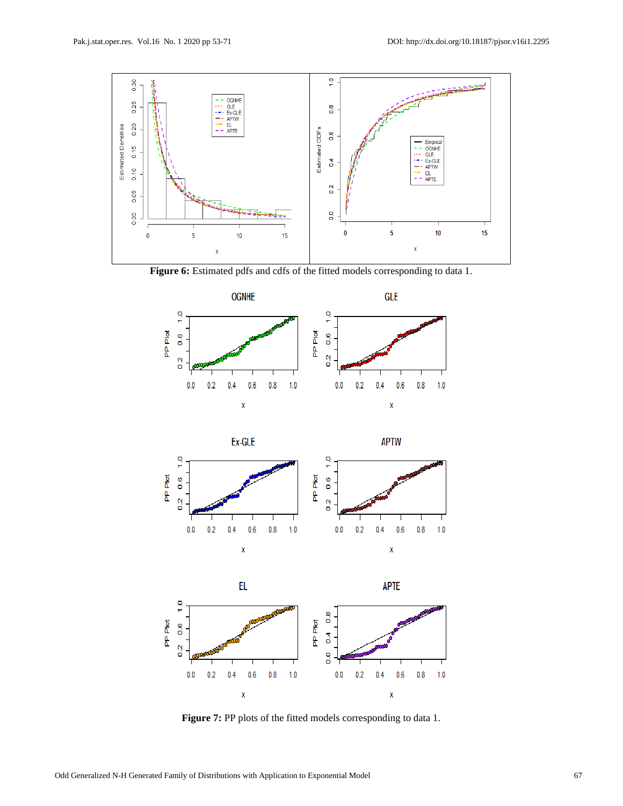

Figure 6: Estimated pdfs and cdfs of the fitted models corresponding to data 1.







**Figure 7:** PP plots of the fitted models corresponding to data 1.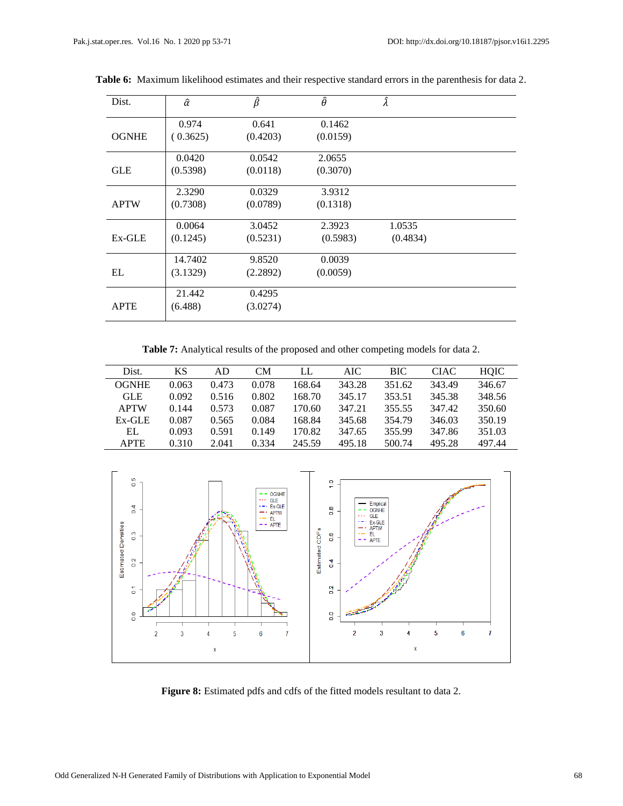| Dist.        | $\hat{\alpha}$ | $\hat{\beta}$ | $\hat{\theta}$ | Â        |  |
|--------------|----------------|---------------|----------------|----------|--|
|              | 0.974          | 0.641         | 0.1462         |          |  |
| <b>OGNHE</b> | (0.3625)       | (0.4203)      | (0.0159)       |          |  |
|              | 0.0420         | 0.0542        | 2.0655         |          |  |
| <b>GLE</b>   | (0.5398)       | (0.0118)      | (0.3070)       |          |  |
|              | 2.3290         | 0.0329        | 3.9312         |          |  |
| <b>APTW</b>  | (0.7308)       | (0.0789)      | (0.1318)       |          |  |
|              | 0.0064         | 3.0452        | 2.3923         | 1.0535   |  |
| Ex-GLE       | (0.1245)       | (0.5231)      | (0.5983)       | (0.4834) |  |
|              | 14.7402        | 9.8520        | 0.0039         |          |  |
| EL           | (3.1329)       | (2.2892)      | (0.0059)       |          |  |
|              | 21.442         | 0.4295        |                |          |  |
| <b>APTE</b>  | (6.488)        | (3.0274)      |                |          |  |

**Table 6:** Maximum likelihood estimates and their respective standard errors in the parenthesis for data 2.

**Table 7:** Analytical results of the proposed and other competing models for data 2.

| Dist.        | <b>KS</b> | AD    | CМ    | LL     | AIC.   | BIC    | CIAC   | <b>HOIC</b> |
|--------------|-----------|-------|-------|--------|--------|--------|--------|-------------|
| <b>OGNHE</b> | 0.063     | 0.473 | 0.078 | 168.64 | 343.28 | 351.62 | 343.49 | 346.67      |
| <b>GLE</b>   | 0.092     | 0.516 | 0.802 | 168.70 | 345.17 | 353.51 | 345.38 | 348.56      |
| <b>APTW</b>  | 0.144     | 0.573 | 0.087 | 170.60 | 347.21 | 355.55 | 347.42 | 350.60      |
| $Ex-GLE$     | 0.087     | 0.565 | 0.084 | 168.84 | 345.68 | 354.79 | 346.03 | 350.19      |
| EL           | 0.093     | 0.591 | 0.149 | 170.82 | 347.65 | 355.99 | 347.86 | 351.03      |
| <b>APTE</b>  | 0.310     | 2.041 | 0.334 | 245.59 | 495.18 | 500.74 | 495.28 | 497.44      |



**Figure 8:** Estimated pdfs and cdfs of the fitted models resultant to data 2.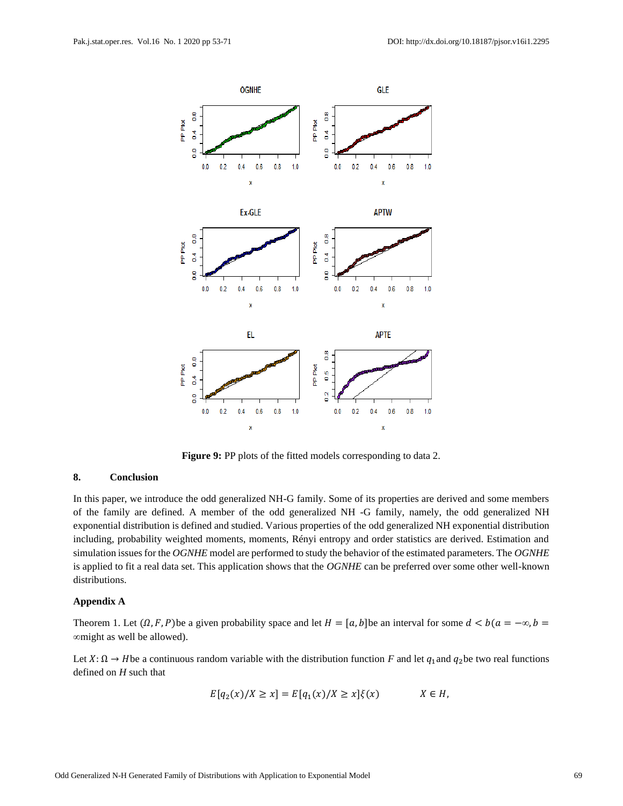

**Figure 9:** PP plots of the fitted models corresponding to data 2.

### **8. Conclusion**

In this paper, we introduce the odd generalized NH-G family. Some of its properties are derived and some members of the family are defined. A member of the odd generalized NH -G family, namely, the odd generalized NH exponential distribution is defined and studied. Various properties of the odd generalized NH exponential distribution including, probability weighted moments, moments, Rényi entropy and order statistics are derived. Estimation and simulation issues for the *OGNHE* model are performed to study the behavior of the estimated parameters. The *OGNHE* is applied to fit a real data set. This application shows that the *OGNHE* can be preferred over some other well-known distributions.

#### **Appendix A**

Theorem 1. Let  $(0, F, P)$  be a given probability space and let  $H = [a, b]$  be an interval for some  $d < b$  ( $a = -\infty, b =$ *∞*might as well be allowed).

Let  $X: \Omega \to H$  be a continuous random variable with the distribution function *F* and let  $q_1$  and  $q_2$  be two real functions defined on *H* such that

$$
E[q_2(x)/X \ge x] = E[q_1(x)/X \ge x]\xi(x) \qquad X \in H,
$$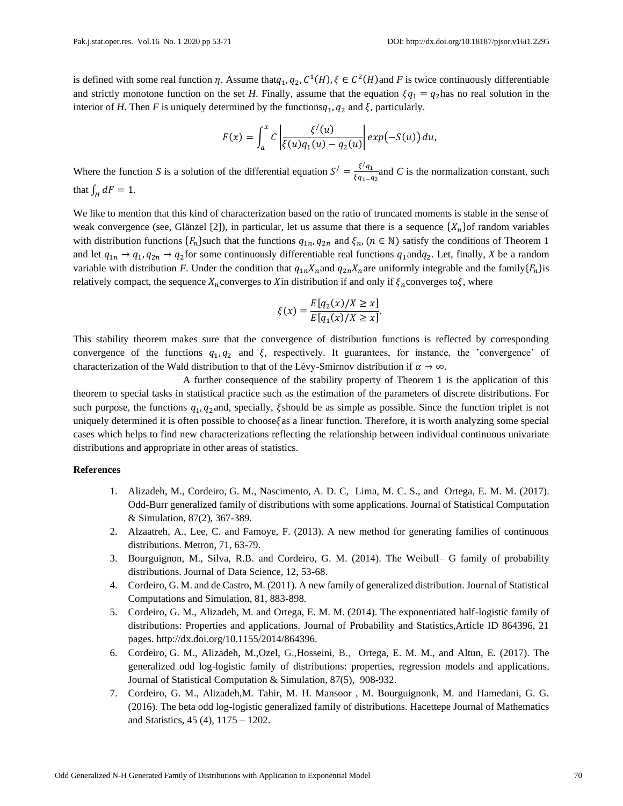is defined with some real function  $\eta$ . Assume that $q_1, q_2, C^1(H), \xi \in C^2(H)$  and F is twice continuously differentiable and strictly monotone function on the set *H*. Finally, assume that the equation  $\xi q_1 = q_2$  has no real solution in the interior of *H*. Then *F* is uniquely determined by the functions $q_1$ ,  $q_2$  and  $\xi$ , particularly.

$$
F(x) = \int_a^x C \left| \frac{\xi'(u)}{\xi(u)q_1(u) - q_2(u)} \right| exp(-S(u)) du,
$$

Where the function *S* is a solution of the differential equation  $S' = \frac{\xi/q_1}{\xi q_1}$  $\frac{\sqrt{q_1}}{\sqrt{q_1-q_2}}$  and *C* is the normalization constant, such that  $\int_H dF = 1$ .

We like to mention that this kind of characterization based on the ratio of truncated moments is stable in the sense of weak convergence (see, Glänzel [2]), in particular, let us assume that there is a sequence  $\{X_n\}$  of random variables with distribution functions  $\{F_n\}$ such that the functions  $q_{1n}$ ,  $q_{2n}$  and  $\xi_n$ ,  $(n \in \mathbb{N})$  satisfy the conditions of Theorem 1 and let  $q_{1n} \to q_1, q_{2n} \to q_2$  for some continuously differentiable real functions  $q_1$  and  $q_2$ . Let, finally, X be a random variable with distribution *F*. Under the condition that  $q_{1n}X_n$  and  $q_{2n}X_n$  are uniformly integrable and the family  $\{F_n\}$  is relatively compact, the sequence  $X_n$  converges to X in distribution if and only if  $\xi_n$  converges to  $\xi$ , where

$$
\xi(x) = \frac{E[q_2(x)/X \ge x]}{E[q_1(x)/X \ge x]}.
$$

This stability theorem makes sure that the convergence of distribution functions is reflected by corresponding convergence of the functions  $q_1, q_2$  and  $\xi$ , respectively. It guarantees, for instance, the 'convergence' of characterization of the Wald distribution to that of the Lévy-Smirnov distribution if  $\alpha \to \infty$ .

A further consequence of the stability property of Theorem 1 is the application of this theorem to special tasks in statistical practice such as the estimation of the parameters of discrete distributions. For such purpose, the functions  $q_1$ ,  $q_2$  and, specially,  $\xi$  should be as simple as possible. Since the function triplet is not uniquely determined it is often possible to choose $\xi$  as a linear function. Therefore, it is worth analyzing some special cases which helps to find new characterizations reflecting the relationship between individual continuous univariate distributions and appropriate in other areas of statistics.

#### **References**

- 1. [Alizadeh,](http://www.tandfonline.com/author/Alizadeh%2C+Morad) M., [Cordeiro,](http://www.tandfonline.com/author/Cordeiro%2C+Gauss+M) G. M., [Nascimento,](http://www.tandfonline.com/author/Nascimento%2C+Abra%C3%A3o+D+C) A. D. C, [Lima,](http://www.tandfonline.com/author/Lima%2C+Maria+Do+Carmo+S) M. C. S., and [Ortega,](http://www.tandfonline.com/author/Ortega%2C+Edwin+M+M) E. M. M. (2017). Odd-Burr generalized family of distributions with some applications. Journal of Statistical Computation & Simulation, 87(2), 367-389.
- 2. Alzaatreh, A., Lee, C. and Famoye, F. (2013). A new method for generating families of continuous distributions. Metron, 71, 63-79.
- 3. Bourguignon, M., Silva, R.B. and Cordeiro, G. M. (2014). The Weibull– G family of probability distributions. Journal of Data Science, 12, 53-68.
- 4. Cordeiro, G. M. and de Castro, M. (2011). A new family of generalized distribution. Journal of Statistical Computations and Simulation, 81, 883-898.
- 5. Cordeiro, G. M., Alizadeh, M. and Ortega, E. M. M. (2014). The exponentiated half-logistic family of distributions: Properties and applications. Journal of Probability and Statistics,Article ID 864396, 21 pages. http://dx.doi.org/10.1155/2014/864396.
- 6. [Cordeiro,](http://www.tandfonline.com/author/Cordeiro%2C+Gauss+M) G. M., [Alizadeh,](http://www.tandfonline.com/author/Alizadeh%2C+Morad) M.[,Ozel,](http://www.tandfonline.com/author/Ozel%2C+Gamze) G.,Hosseini, B., [Ortega,](http://www.tandfonline.com/author/Ortega%2C+Edwin+M+M) E. M. M., and Altun, E. (2017). The generalized odd log-logistic family of distributions: properties, regression models and applications, Journal of Statistical Computation & Simulation, 87(5), 908-932.
- 7. Cordeiro, G. M., Alizadeh,M. Tahir, M. H. Mansoor , M. Bourguignonk, M. and Hamedani, G. G. (2016). The beta odd log-logistic generalized family of distributions. Hacettepe Journal of Mathematics and Statistics, 45 (4), 1175 – 1202.